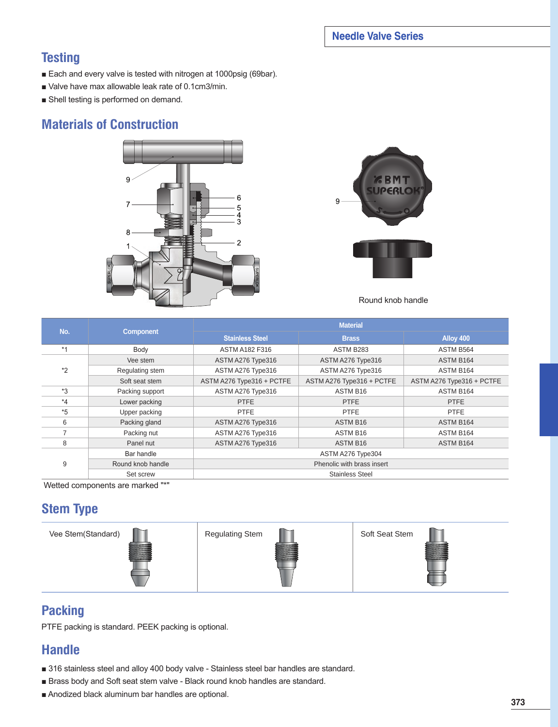### **Needle Valve Series**

## **Testing**

- Each and every valve is tested with nitrogen at 1000psig (69bar).
- Valve have max allowable leak rate of 0.1cm3/min.
- Shell testing is performed on demand.

## **Materials of Construction**





Round knob handle

| No.     | <b>Component</b>  | <b>Material</b>            |                           |                           |  |  |  |  |
|---------|-------------------|----------------------------|---------------------------|---------------------------|--|--|--|--|
|         |                   | <b>Stainless Steel</b>     | <b>Brass</b>              | Alloy 400                 |  |  |  |  |
| $*1$    | Body              | <b>ASTM A182 F316</b>      | ASTM B283                 | ASTM B564                 |  |  |  |  |
|         | Vee stem          | ASTM A276 Type316          | ASTM A276 Type316         | ASTM B164                 |  |  |  |  |
| $*_{2}$ | Regulating stem   | ASTM A276 Type316          | ASTM A276 Type316         | ASTM B164                 |  |  |  |  |
|         | Soft seat stem    | ASTM A276 Type316 + PCTFE  | ASTM A276 Type316 + PCTFE | ASTM A276 Type316 + PCTFE |  |  |  |  |
| $*3$    | Packing support   | ASTM A276 Type316          | ASTM B <sub>16</sub>      | ASTM B164                 |  |  |  |  |
| $*_{4}$ | Lower packing     | <b>PTFE</b>                | <b>PTFE</b>               | <b>PTFE</b>               |  |  |  |  |
| $*5$    | Upper packing     | <b>PTFE</b>                | <b>PTFE</b>               | <b>PTFE</b>               |  |  |  |  |
| 6       | Packing gland     | ASTM A276 Type316          | ASTM B16                  | ASTM B164                 |  |  |  |  |
|         | Packing nut       | ASTM A276 Type316          | ASTM B <sub>16</sub>      | ASTM B164                 |  |  |  |  |
| 8       | Panel nut         | ASTM A276 Type316          | ASTM B <sub>16</sub>      | ASTM B164                 |  |  |  |  |
| 9       | Bar handle        | ASTM A276 Type304          |                           |                           |  |  |  |  |
|         | Round knob handle | Phenolic with brass insert |                           |                           |  |  |  |  |
|         | Set screw         | <b>Stainless Steel</b>     |                           |                           |  |  |  |  |

Wetted components are marked "\*"

## **Stem Type**









## **Packing**

PTFE packing is standard. PEEK packing is optional.

## **Handle**

- 316 stainless steel and alloy 400 body valve Stainless steel bar handles are standard.
- Brass body and Soft seat stem valve Black round knob handles are standard.
- Anodized black aluminum bar handles are optional.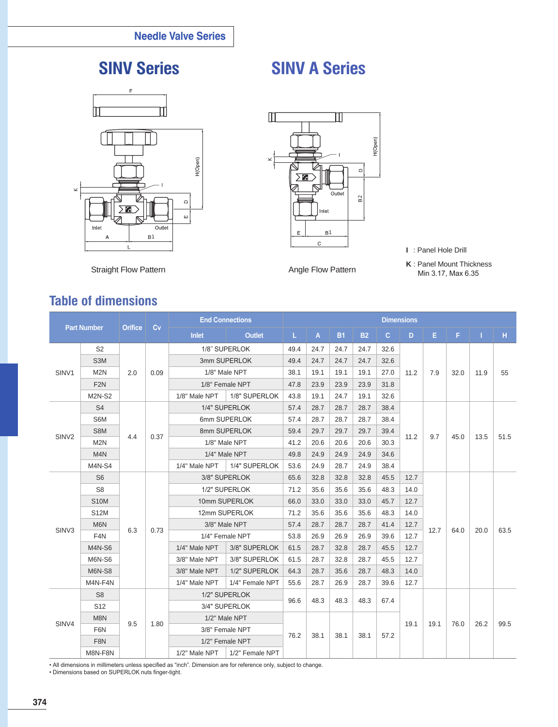

# **SINV Series SINV A Series**



- **I** : Panel Hole Drill
- **K** : Panel Mount Thickness Min 3.17, Max 6.35

Straight Flow Pattern **Angle Flow Pattern** Angle Flow Pattern

## **Table of dimensions**

| <b>Part Number</b> |                  |                |      | <b>End Connections</b> |                                              | <b>Dimensions</b>                    |              |           |           |              |      |      |      |      |      |
|--------------------|------------------|----------------|------|------------------------|----------------------------------------------|--------------------------------------|--------------|-----------|-----------|--------------|------|------|------|------|------|
|                    |                  | <b>Orifice</b> | Cv   | <b>Inlet</b>           | <b>Outlet</b>                                | L.                                   | $\mathsf{A}$ | <b>B1</b> | <b>B2</b> | $\mathbf{C}$ | D    | E.   | F.   | T.   | H    |
| SINV <sub>1</sub>  | S <sub>2</sub>   |                | 0.09 |                        | 1/8" SUPERLOK                                | 49.4                                 | 24.7         | 24.7      | 24.7      | 32.6         |      |      |      |      | 55   |
|                    | S <sub>3</sub> M | 2.0            |      | 3mm SUPERLOK           |                                              | 49.4                                 | 24.7         | 24.7      | 24.7      | 32.6         | 11.2 |      | 32.0 | 11.9 |      |
|                    | M <sub>2N</sub>  |                |      | 1/8" Male NPT          |                                              | 38.1                                 | 19.1         | 19.1      | 19.1      | 27.0         |      | 7.9  |      |      |      |
|                    | F <sub>2N</sub>  |                |      | 1/8" Female NPT        |                                              | 47.8                                 | 23.9         | 23.9      | 23.9      | 31.8         |      |      |      |      |      |
|                    | <b>M2N-S2</b>    |                |      | 1/8" Male NPT          | 1/8" SUPERLOK                                | 43.8                                 | 19.1         | 24.7      | 19.1      | 32.6         |      |      |      |      |      |
|                    | S <sub>4</sub>   |                |      |                        | 1/4" SUPERLOK                                | 57.4<br>28.7<br>28.7<br>28.7<br>38.4 |              |           |           |              |      |      |      |      |      |
|                    | S6M              |                | 0.37 | 6mm SUPERLOK           |                                              | 57.4                                 | 28.7         | 28.7      | 28.7      | 38.4         |      |      |      |      | 51.5 |
|                    | S8M              | 4.4            |      |                        | 8mm SUPERLOK                                 | 59.4                                 | 29.7         | 29.7      | 29.7      | 39.4         | 11.2 |      | 45.0 | 13.5 |      |
| SIN <sub>V2</sub>  | M2N              |                |      |                        | 1/8" Male NPT                                | 41.2                                 | 20.6         | 20.6      | 20.6      | 30.3         | 9.7  |      |      |      |      |
|                    | M <sub>4</sub> N |                |      | 1/4" Male NPT          |                                              | 49.8                                 | 24.9         | 24.9      | 24.9      | 34.6         |      |      |      |      |      |
|                    | M4N-S4           |                |      | 1/4" Male NPT          | 1/4" SUPERLOK                                | 53.6                                 | 24.9         | 28.7      | 24.9      | 38.4         |      |      |      |      |      |
|                    | S <sub>6</sub>   |                |      |                        | 3/8" SUPERLOK                                | 65.6                                 | 32.8         | 32.8      | 32.8      | 45.5         | 12.7 |      |      |      |      |
|                    | S <sub>8</sub>   |                |      | 1/2" SUPERLOK          |                                              | 71.2                                 | 35.6         | 35.6      | 35.6      | 48.3         | 14.0 |      |      |      |      |
|                    | <b>S10M</b>      |                |      | 10mm SUPERLOK          |                                              | 66.0                                 | 33.0         | 33.0      | 33.0      | 45.7         | 12.7 |      |      |      |      |
|                    | <b>S12M</b>      |                |      | 12mm SUPERLOK          |                                              | 71.2                                 | 35.6         | 35.6      | 35.6      | 48.3         | 14.0 |      |      |      |      |
| SIN <sub>V3</sub>  | M6N              | 6.3            |      |                        | 3/8" Male NPT                                | 57.4                                 | 28.7         | 28.7      | 28.7      | 41.4         | 12.7 |      |      |      | 63.5 |
|                    | F <sub>4</sub> N |                | 0.73 | 1/4" Female NPT        |                                              | 53.8                                 | 26.9         | 26.9      | 26.9      | 39.6         | 12.7 | 12.7 | 64.0 | 20.0 |      |
|                    | <b>M4N-S6</b>    |                |      | 1/4" Male NPT          | 3/8" SUPERLOK                                | 61.5                                 | 28.7         | 32.8      | 28.7      | 45.5         | 12.7 |      |      |      |      |
|                    | <b>M6N-S6</b>    |                |      | 3/8" Male NPT          | 3/8" SUPERLOK                                | 61.5                                 | 28.7         | 32.8      | 28.7      | 45.5         | 12.7 |      |      |      |      |
|                    | <b>M6N-S8</b>    |                |      | 3/8" Male NPT          | 1/2" SUPERLOK                                | 64.3                                 | 28.7         | 35.6      | 28.7      | 48.3         | 14.0 |      |      |      |      |
|                    | M4N-F4N          |                |      | 1/4" Male NPT          | 1/4" Female NPT                              | 55.6                                 | 28.7         | 26.9      | 28.7      | 39.6         | 12.7 |      |      |      |      |
|                    | S <sub>8</sub>   |                |      |                        | 1/2" SUPERLOK                                |                                      | 48.3         | 48.3      | 48.3      | 67.4         | 19.1 | 19.1 | 76.0 | 26.2 | 99.5 |
|                    | S <sub>12</sub>  |                |      | 3/4" SUPERLOK          |                                              | 96.6                                 |              |           |           |              |      |      |      |      |      |
|                    | M8N              |                |      | 1/2" Male NPT          |                                              |                                      |              |           |           |              |      |      |      |      |      |
| SINV4              | F6N              | 9.5            | 1.80 | 3/8" Female NPT        |                                              |                                      |              |           |           |              |      |      |      |      |      |
|                    | F8N              |                |      |                        | 1/2" Female NPT                              | 76.2                                 | 38.1         | 38.1      | 38.1      | 57.2         |      |      |      |      |      |
|                    | M8N-F8N          |                |      |                        | $1/2$ " Male NPT $\parallel$ 1/2" Female NPT |                                      |              |           |           |              |      |      |      |      |      |

• All dimensions in millimeters unless specified as "inch". Dimension are for reference only, subject to change.

• Dimensions based on SUPERLOK nuts finger-tight.